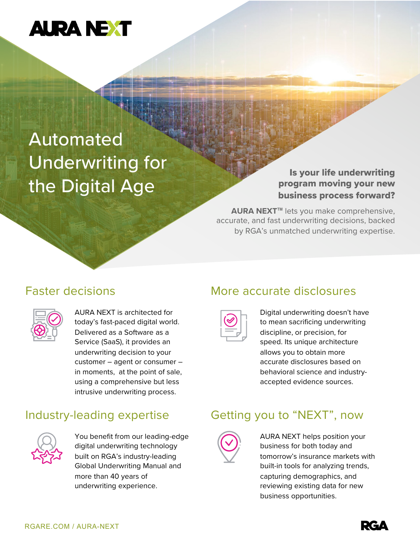# **AURA NEXT**

# Automated Underwriting for the Digital Age

#### Is your life underwriting program moving your new business process forward?

**AURA NEXT**™ lets you make comprehensive, accurate, and fast underwriting decisions, backed by RGA's unmatched underwriting expertise.

### Faster decisions

AURA NEXT is architected for today's fast-paced digital world. Delivered as a Software as a Service (SaaS), it provides an underwriting decision to your customer – agent or consumer – in moments, at the point of sale, using a comprehensive but less intrusive underwriting process.

## Industry-leading expertise



You benefit from our leading-edge digital underwriting technology built on RGA's industry-leading Global Underwriting Manual and more than 40 years of underwriting experience.

### More accurate disclosures

Digital underwriting doesn't have to mean sacrificing underwriting discipline, or precision, for speed. Its unique architecture allows you to obtain more accurate disclosures based on behavioral science and industryaccepted evidence sources.

### Getting you to "NEXT", now



AURA NEXT helps position your business for both today and tomorrow's insurance markets with built-in tools for analyzing trends, capturing demographics, and reviewing existing data for new business opportunities.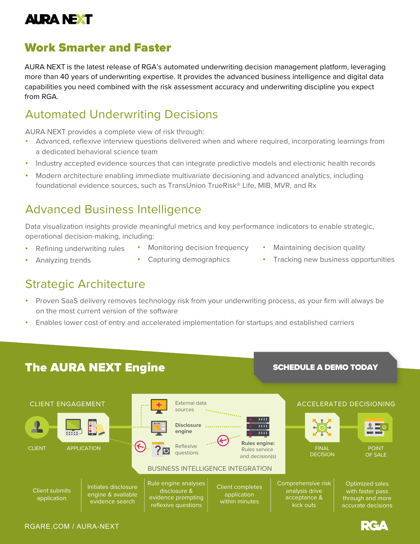# **AURA NEXT**

### Work Smarter and Faster

AURA NEXT is the latest release of RGA's automated underwriting decision management platform, leveraging more than 40 years of underwriting expertise. It provides the advanced business intelligence and digital data capabilities you need combined with the risk assessment accuracy and underwriting discipline you expect from RGA.

#### Automated Underwriting Decisions

AURA NEXT provides a complete view of risk through:

- Advanced, reflexive interview questions delivered when and where required, incorporating learnings from a dedicated behavioral science team
- Industry accepted evidence sources that can integrate predictive models and electronic health records
- Modern architecture enabling immediate multivariate decisioning and advanced analytics, including foundational evidence sources, such as TransUnion TrueRisk® Life, MIB, MVR, and Rx

## Advanced Business Intelligence

Data visualization insights provide meaningful metrics and key performance indicators to enable strategic, operational decision-making, including:

• Refining underwriting rules

[RGARE.COM / AURA-NEXT](https://www.rgare.com/aura-next/)

- Monitoring decision frequency
- Maintaining decision quality
- Analyzing trends
- Capturing demographics
- 
- Tracking new business opportunities

## Strategic Architecture

- Proven SaaS delivery removes technology risk from your underwriting process, as your firm will always be on the most current version of the software
- Enables lower cost of entry and accelerated implementation for startups and established carriers